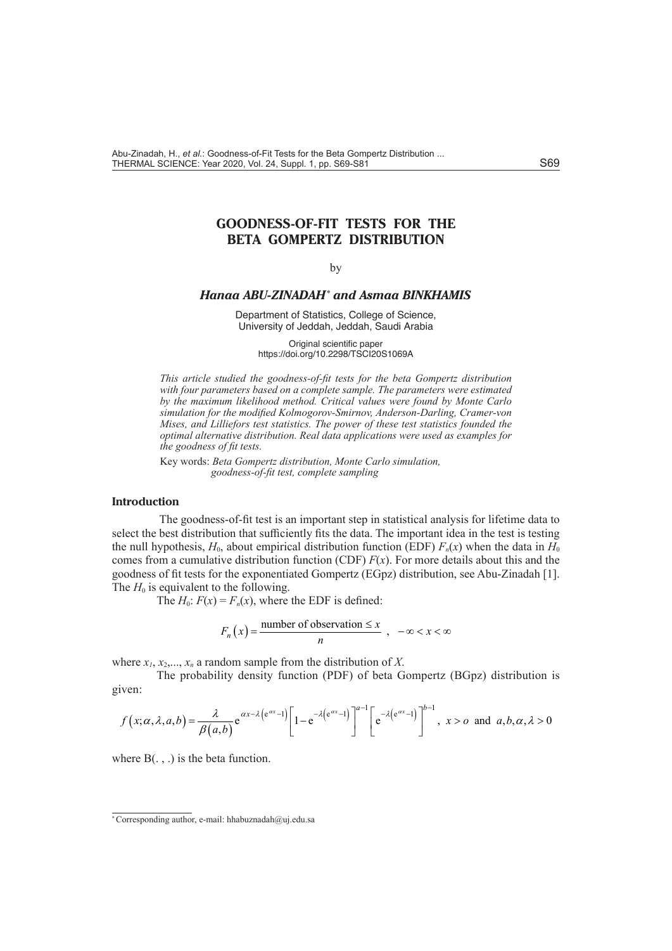# **GOODNESS-OF-FIT TESTS FOR THE BETA GOMPERTZ DISTRIBUTION**

#### by

### *Hanaa ABU-ZINADAH\* and Asmaa BINKHAMIS*

Department of Statistics, College of Science, University of Jeddah, Jeddah, Saudi Arabia

> Original scientific paper https://doi.org/10.2298/TSCI20S1069A

*This article studied the goodness-of-fit tests for the beta Gompertz distribution with four parameters based on a complete sample. The parameters were estimated by the maximum likelihood method. Critical values were found by Monte Carlo simulation for the modified Kolmogorov-Smirnov, Anderson-Darling, Cramer-von Mises, and Lilliefors test statistics. The power of these test statistics founded the optimal alternative distribution. Real data applications were used as examples for the goodness of fit tests.*

Key words: *Beta Gompertz distribution, Monte Carlo simulation, goodness-of-fit test, complete sampling*

# **Introduction**

 The goodness-of-fit test is an important step in statistical analysis for lifetime data to select the best distribution that sufficiently fits the data. The important idea in the test is testing the null hypothesis,  $H_0$ , about empirical distribution function (EDF)  $F_n(x)$  when the data in  $H_0$ comes from a cumulative distribution function (CDF)  $F(x)$ . For more details about this and the goodness of fit tests for the exponentiated Gompertz (EGpz) distribution, see Abu-Zinadah [1]. The  $H_0$  is equivalent to the following.

The  $H_0$ :  $F(x) = F_n(x)$ , where the EDF is defined:

$$
F_n(x) = \frac{\text{number of observation} \le x}{n}, \quad -\infty < x < \infty
$$

where  $x_1, x_2, \ldots, x_n$  a random sample from the distribution of X.

The probability density function (PDF) of beta Gompertz (BGpz) distribution is given:

$$
f(x; \alpha, \lambda, a, b) = \frac{\lambda}{\beta(a, b)} e^{\alpha x - \lambda \left(e^{\alpha x} - 1\right)} \left[1 - e^{-\lambda \left(e^{\alpha x} - 1\right)}\right]^{a-1} \left[e^{-\lambda \left(e^{\alpha x} - 1\right)}\right]^{b-1}, \ x > 0 \text{ and } a, b, \alpha, \lambda > 0
$$

where  $B(.,.)$  is the beta function.

<sup>\*</sup> Corresponding author, e-mail: hhabuznadah@uj.edu.sa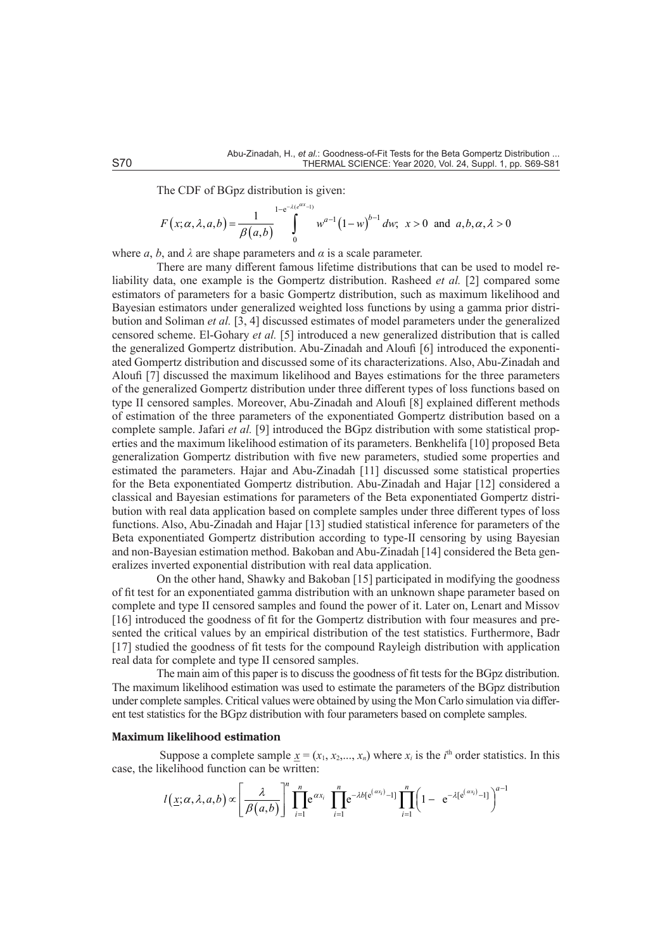The CDF of BGpz distribution is given:

$$
F(x; \alpha, \lambda, a, b) = \frac{1}{\beta(a, b)} \int_{0}^{1 - e^{-\lambda(e^{ax}-1)}} w^{a-1} (1-w)^{b-1} dw; \ \ x > 0 \ \text{ and } \ a, b, \alpha, \lambda > 0
$$

where *a*, *b*, and  $\lambda$  are shape parameters and  $\alpha$  is a scale parameter.

There are many different famous lifetime distributions that can be used to model reliability data, one example is the Gompertz distribution. Rasheed *et al.* [2] compared some estimators of parameters for a basic Gompertz distribution, such as maximum likelihood and Bayesian estimators under generalized weighted loss functions by using a gamma prior distribution and Soliman *et al.* [3, 4] discussed estimates of model parameters under the generalized censored scheme. El-Gohary *et al.* [5] introduced a new generalized distribution that is called the generalized Gompertz distribution. Abu-Zinadah and Aloufi [6] introduced the exponentiated Gompertz distribution and discussed some of its characterizations. Also, Abu-Zinadah and Aloufi [7] discussed the maximum likelihood and Bayes estimations for the three parameters of the generalized Gompertz distribution under three different types of loss functions based on type II censored samples. Moreover, Abu-Zinadah and Aloufi [8] explained different methods of estimation of the three parameters of the exponentiated Gompertz distribution based on a complete sample. Jafari *et al.* [9] introduced the BGpz distribution with some statistical properties and the maximum likelihood estimation of its parameters. Benkhelifa [10] proposed Beta generalization Gompertz distribution with five new parameters, studied some properties and estimated the parameters. Hajar and Abu-Zinadah [11] discussed some statistical properties for the Beta exponentiated Gompertz distribution. Abu-Zinadah and Hajar [12] considered a classical and Bayesian estimations for parameters of the Beta exponentiated Gompertz distribution with real data application based on complete samples under three different types of loss functions. Also, Abu-Zinadah and Hajar [13] studied statistical inference for parameters of the Beta exponentiated Gompertz distribution according to type-II censoring by using Bayesian and non-Bayesian estimation method. Bakoban and Abu-Zinadah [14] considered the Beta generalizes inverted exponential distribution with real data application.

On the other hand, Shawky and Bakoban [15] participated in modifying the goodness of fit test for an exponentiated gamma distribution with an unknown shape parameter based on complete and type II censored samples and found the power of it. Later on, Lenart and Missov [16] introduced the goodness of fit for the Gompertz distribution with four measures and presented the critical values by an empirical distribution of the test statistics. Furthermore, Badr [17] studied the goodness of fit tests for the compound Rayleigh distribution with application real data for complete and type II censored samples.

The main aim of this paper is to discuss the goodness of fit tests for the BGpz distribution. The maximum likelihood estimation was used to estimate the parameters of the BGpz distribution under complete samples. Critical values were obtained by using the Mon Carlo simulation via different test statistics for the BGpz distribution with four parameters based on complete samples.

#### **Maximum likelihood estimation**

Suppose a complete sample  $x = (x_1, x_2, ..., x_n)$  where  $x_i$  is the *i*<sup>th</sup> order statistics. In this case, the likelihood function can be written:

$$
l(\underline{x};\alpha,\lambda,a,b) \propto \left[\frac{\lambda}{\beta(a,b)}\right]^n \prod_{i=1}^n e^{-\alpha x_i} \prod_{i=1}^n e^{-\lambda b [e^{(\alpha x_i)}-1]} \prod_{i=1}^n \left(1-e^{-\lambda [e^{(\alpha x_i)}-1]}\right)^{a-1}
$$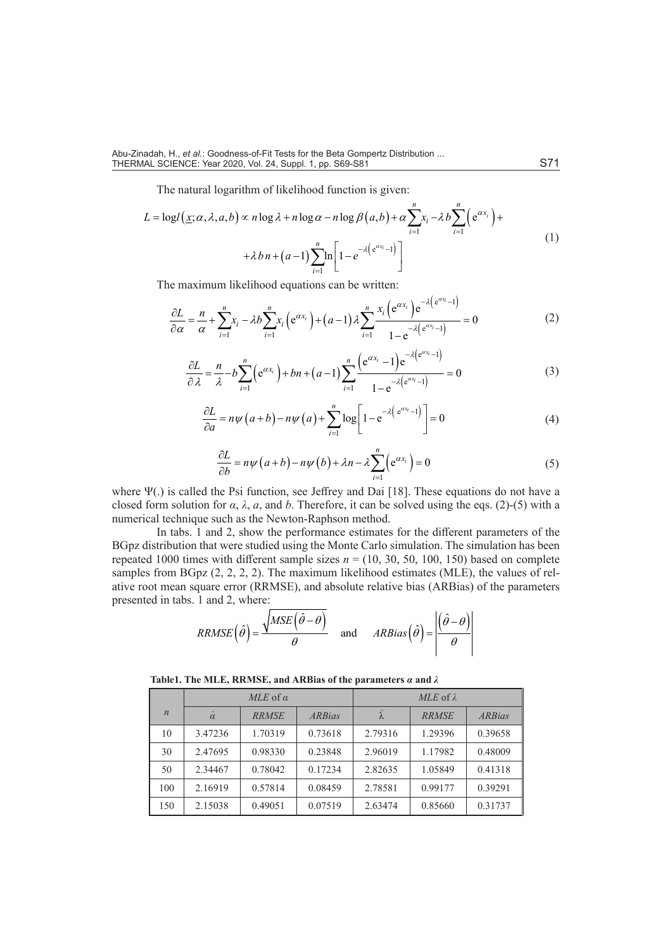The natural logarithm of likelihood function is given:

$$
L = \log l\left(\underline{x}; \alpha, \lambda, a, b\right) \propto n \log \lambda + n \log \alpha - n \log \beta\left(a, b\right) + \alpha \sum_{i=1}^{n} x_i - \lambda b \sum_{i=1}^{n} \left(e^{\alpha x_i}\right) + \lambda b n + (a-1) \sum_{i=1}^{n} \ln \left[1 - e^{-\lambda \left(e^{\alpha x_i} - 1\right)}\right]
$$
\n
$$
(1)
$$

The maximum likelihood equations can be written:

$$
\frac{\partial L}{\partial \alpha} = \frac{n}{\alpha} + \sum_{i=1}^{n} x_i - \lambda b \sum_{i=1}^{n} x_i \left( e^{\alpha x_i} \right) + (a-1) \lambda \sum_{i=1}^{n} \frac{x_i \left( e^{\alpha x_i} \right) e^{-\lambda \left( e^{\alpha x_i} - 1 \right)}}{1 - e^{-\lambda \left( e^{\alpha x_i} - 1 \right)}} = 0 \tag{2}
$$

$$
\frac{\partial L}{\partial \lambda} = \frac{n}{\lambda} - b \sum_{i=1}^{n} \left( e^{\alpha x_i} \right) + b n + (a-1) \sum_{i=1}^{n} \frac{\left( e^{\alpha x_i} - 1 \right) e^{-\lambda \left( e^{\alpha x_i} - 1 \right)}}{1 - e^{-\lambda \left( e^{\alpha x_i} - 1 \right)}} = 0 \tag{3}
$$

$$
\frac{\partial L}{\partial a} = n\psi(a+b) - n\psi(a) + \sum_{i=1}^{n} \log\left[1 - e^{-\lambda\left(e^{ax_i} - 1\right)}\right] = 0\tag{4}
$$

$$
\frac{\partial L}{\partial b} = n\psi(a+b) - n\psi(b) + \lambda n - \lambda \sum_{i=1}^{n} (e^{\alpha x_i}) = 0
$$
\n(5)

where Ψ(.) is called the Psi function, see Jeffrey and Dai [18]. These equations do not have a closed form solution for *α*, *λ*, *a*, and *b*. Therefore, it can be solved using the eqs. (2)-(5) with a numerical technique such as the Newton-Raphson method.

In tabs. 1 and 2, show the performance estimates for the different parameters of the BGpz distribution that were studied using the Monte Carlo simulation. The simulation has been repeated 1000 times with different sample sizes  $n = (10, 30, 50, 100, 150)$  based on complete samples from BGpz  $(2, 2, 2, 2)$ . The maximum likelihood estimates (MLE), the values of relative root mean square error (RRMSE), and absolute relative bias (ARBias) of the parameters presented in tabs. 1 and 2, where:

$$
RRMSE\left(\hat{\theta}\right) = \frac{\sqrt{MSE\left(\hat{\theta} - \theta\right)}}{\theta} \quad \text{and} \quad ARBias\left(\hat{\theta}\right) = \frac{\left|\left(\hat{\theta} - \theta\right)\right|}{\theta}
$$

**Table1. The MLE, RRMSE, and ARBias of the parameters** *α* **and** *λ*

|                |                | $MLE$ of $\alpha$ |               | $MLE$ of $\lambda$ |              |         |  |
|----------------|----------------|-------------------|---------------|--------------------|--------------|---------|--|
| $\overline{n}$ | $\hat{\alpha}$ | <b>RRMSE</b>      | <b>ARBias</b> | $\hat{\lambda}$    | <b>RRMSE</b> | ARBias  |  |
| 10             | 3.47236        | 1.70319           | 0.73618       | 2.79316            | 1.29396      | 0.39658 |  |
| 30             | 2.47695        | 0.98330           | 0.23848       | 2.96019            | 1.17982      | 0.48009 |  |
| 50             | 2.34467        | 0.78042           | 0.17234       | 2.82635            | 1.05849      | 0.41318 |  |
| 100            | 2.16919        | 0.57814           | 0.08459       | 2.78581            | 0.99177      | 0.39291 |  |
| 150            | 2.15038        | 0.49051           | 0.07519       | 2.63474            | 0.85660      | 0.31737 |  |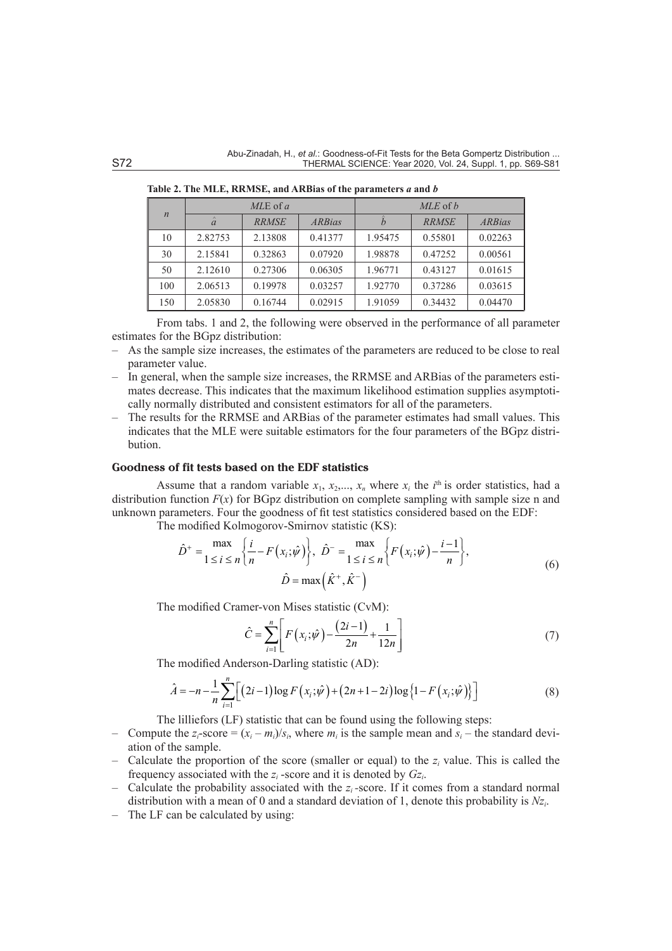|                  |         | $MLE$ of a   |               | $MLE$ of $b$ |              |               |  |
|------------------|---------|--------------|---------------|--------------|--------------|---------------|--|
| $\boldsymbol{n}$ |         | <b>RRMSE</b> | <i>ARBias</i> |              | <b>RRMSE</b> | <b>ARBias</b> |  |
| 10               | 2.82753 | 2.13808      | 0.41377       | 1.95475      | 0.55801      | 0.02263       |  |
| 30               | 2.15841 | 0.32863      | 0.07920       | 1.98878      | 0.47252      | 0.00561       |  |
| 50               | 2.12610 | 0.27306      | 0.06305       | 1.96771      | 0.43127      | 0.01615       |  |
| 100              | 2.06513 | 0.19978      | 0.03257       | 1.92770      | 0.37286      | 0.03615       |  |
| 150              | 2.05830 | 0.16744      | 0.02915       | 1.91059      | 0.34432      | 0.04470       |  |

**Table 2. The MLE, RRMSE, and ARBias of the parameters** *a* **and** *b*

From tabs. 1 and 2, the following were observed in the performance of all parameter estimates for the BGpz distribution:

- As the sample size increases, the estimates of the parameters are reduced to be close to real parameter value.
- In general, when the sample size increases, the RRMSE and ARBias of the parameters estimates decrease. This indicates that the maximum likelihood estimation supplies asymptotically normally distributed and consistent estimators for all of the parameters.
- The results for the RRMSE and ARBias of the parameter estimates had small values. This indicates that the MLE were suitable estimators for the four parameters of the BGpz distribution.

# **Goodness of fit tests based on the EDF statistics**

Assume that a random variable  $x_1, x_2, \ldots, x_n$  where  $x_i$  the  $i^{\text{th}}$  is order statistics, had a distribution function  $F(x)$  for BGpz distribution on complete sampling with sample size n and unknown parameters. Four the goodness of fit test statistics considered based on the EDF:

The modified Kolmogorov-Smirnov statistic (KS):

$$
\hat{D}^+ = \max_{1 \le i \le n} \left\{ \frac{i}{n} - F(x_i; \hat{\psi}) \right\}, \quad \hat{D}^- = \max_{1 \le i \le n} \left\{ F(x_i; \hat{\psi}) - \frac{i-1}{n} \right\},
$$
\n
$$
\hat{D} = \max \left( \hat{K}^+, \hat{K}^- \right)
$$
\n(6)

The modified Cramer-von Mises statistic (CvM):

$$
\hat{C} = \sum_{i=1}^{n} \left[ F(x_i; \hat{\psi}) - \frac{(2i-1)}{2n} + \frac{1}{12n} \right]
$$
(7)

The modified Anderson-Darling statistic (AD):

$$
\hat{A} = -n - \frac{1}{n} \sum_{i=1}^{n} \Big[ (2i - 1) \log F(x_i; \hat{\psi}) + (2n + 1 - 2i) \log \{1 - F(x_i; \hat{\psi})\} \Big] \tag{8}
$$

The lilliefors (LF) statistic that can be found using the following steps:

- Compute the  $z_i$ -score =  $(x_i m_i)/s_i$ , where  $m_i$  is the sample mean and  $s_i$  the standard deviation of the sample.
- Calculate the proportion of the score (smaller or equal) to the  $z_i$  value. This is called the frequency associated with the  $z_i$ -score and it is denoted by  $Gz_i$ .
- Calculate the probability associated with the  $z_i$ -score. If it comes from a standard normal distribution with a mean of 0 and a standard deviation of 1, denote this probability is *Nzi*.
- The LF can be calculated by using: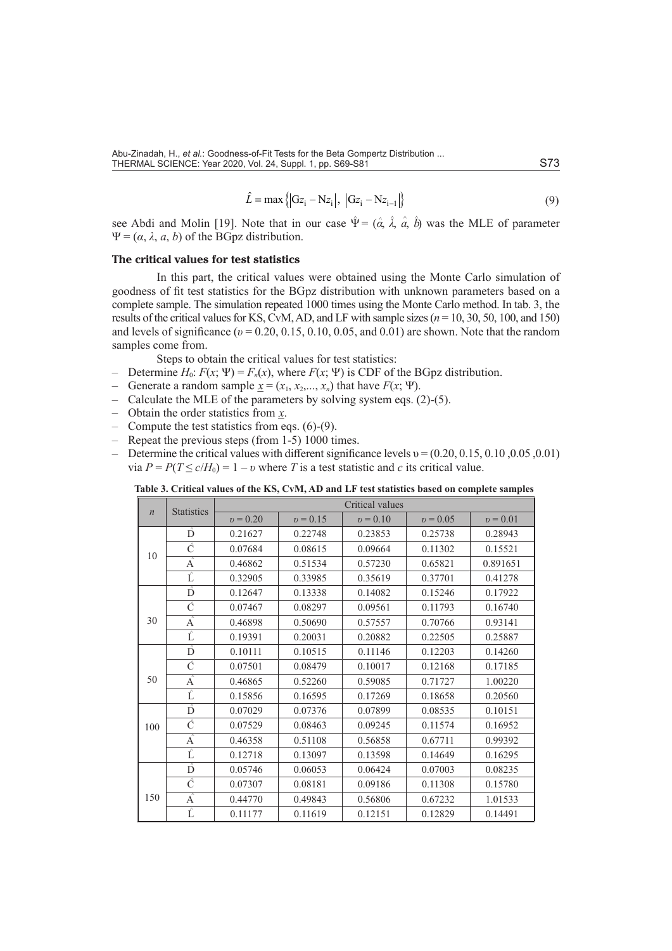$$
\hat{L} = \max \{|Gz_i - Nz_i|, |Gz_i - Nz_{i-1}|\}\
$$
\n(9)

see Abdi and Molin [19]. Note that in our case  $\hat{\Psi} = (\hat{\alpha}, \hat{\lambda}, \hat{\alpha}, \hat{\theta})$  was the MLE of parameter Ψ = (*α*, *λ*, *a*, *b*) of the BGpz distribution.

#### **The critical values for test statistics**

In this part, the critical values were obtained using the Monte Carlo simulation of goodness of fit test statistics for the BGpz distribution with unknown parameters based on a complete sample. The simulation repeated 1000 times using the Monte Carlo method. In tab. 3, the results of the critical values for KS, CvM, AD, and LF with sample sizes  $(n = 10, 30, 50, 100, \text{ and } 150)$ and levels of significance (*υ* = 0.20, 0.15, 0.10, 0.05, and 0.01) are shown. Note that the random samples come from.

Steps to obtain the critical values for test statistics:

- Determine  $H_0$ :  $F(x; \Psi) = F_n(x)$ , where  $F(x; \Psi)$  is CDF of the BGpz distribution.
- Generate a random sample  $x = (x_1, x_2,..., x_n)$  that have  $F(x; \Psi)$ .
- Calculate the MLE of the parameters by solving system eqs. (2)-(5).
- $-$  Obtain the order statistics from  $x$ .
- Compute the test statistics from eqs.  $(6)-(9)$ .
- Repeat the previous steps (from 1-5) 1000 times.
- Determine the critical values with different significance levels  $v = (0.20, 0.15, 0.10, 0.05, 0.01)$ via  $P = P(T \le c/H_0) = 1 - v$  where *T* is a test statistic and *c* its critical value.

|  |  |  |  |  |  |  |  |  | Table 3. Critical values of the KS, CvM, AD and LF test statistics based on complete samples |  |  |  |  |  |
|--|--|--|--|--|--|--|--|--|----------------------------------------------------------------------------------------------|--|--|--|--|--|
|--|--|--|--|--|--|--|--|--|----------------------------------------------------------------------------------------------|--|--|--|--|--|

|     | <b>Statistics</b><br>$\boldsymbol{n}$ |            |            | Critical values |            |            |
|-----|---------------------------------------|------------|------------|-----------------|------------|------------|
|     |                                       | $v = 0.20$ | $v = 0.15$ | $v = 0.10$      | $v = 0.05$ | $v = 0.01$ |
|     | $\hat{\mathbf{D}}$                    | 0.21627    | 0.22748    | 0.23853         | 0.25738    | 0.28943    |
|     | Ĉ                                     | 0.07684    | 0.08615    | 0.09664         | 0.11302    | 0.15521    |
| 10  | $\overline{A}$                        | 0.46862    | 0.51534    | 0.57230         | 0.65821    | 0.891651   |
|     | $\hat{\mathbf{L}}$                    | 0.32905    | 0.33985    | 0.35619         | 0.37701    | 0.41278    |
|     | $\overline{\hat{\mathbf{D}}}$         | 0.12647    | 0.13338    | 0.14082         | 0.15246    | 0.17922    |
|     | $\overline{\hat{c}}$                  | 0.07467    | 0.08297    | 0.09561         | 0.11793    | 0.16740    |
| 30  | $\overrightarrow{A}$                  | 0.46898    | 0.50690    | 0.57557         | 0.70766    | 0.93141    |
|     | Ĺ                                     | 0.19391    | 0.20031    | 0.20882         | 0.22505    | 0.25887    |
|     | $\overline{\hat{\mathbf{D}}}$         | 0.10111    | 0.10515    | 0.11146         | 0.12203    | 0.14260    |
|     | $\hat{c}$                             | 0.07501    | 0.08479    | 0.10017         | 0.12168    | 0.17185    |
| 50  | $\overline{A}$                        | 0.46865    | 0.52260    | 0.59085         | 0.71727    | 1.00220    |
|     | Ĺ                                     | 0.15856    | 0.16595    | 0.17269         | 0.18658    | 0.20560    |
|     | $\hat{\mathbf{D}}$                    | 0.07029    | 0.07376    | 0.07899         | 0.08535    | 0.10151    |
| 100 | $\hat{c}$                             | 0.07529    | 0.08463    | 0.09245         | 0.11574    | 0.16952    |
|     | $\overline{A}$                        | 0.46358    | 0.51108    | 0.56858         | 0.67711    | 0.99392    |
|     | Ĺ                                     | 0.12718    | 0.13097    | 0.13598         | 0.14649    | 0.16295    |
|     | $\overline{\hat{D}}$                  | 0.05746    | 0.06053    | 0.06424         | 0.07003    | 0.08235    |
|     | Ĉ                                     | 0.07307    | 0.08181    | 0.09186         | 0.11308    | 0.15780    |
| 150 | $\overline{A}$                        | 0.44770    | 0.49843    | 0.56806         | 0.67232    | 1.01533    |
|     | Ĺ                                     | 0.11177    | 0.11619    | 0.12151         | 0.12829    | 0.14491    |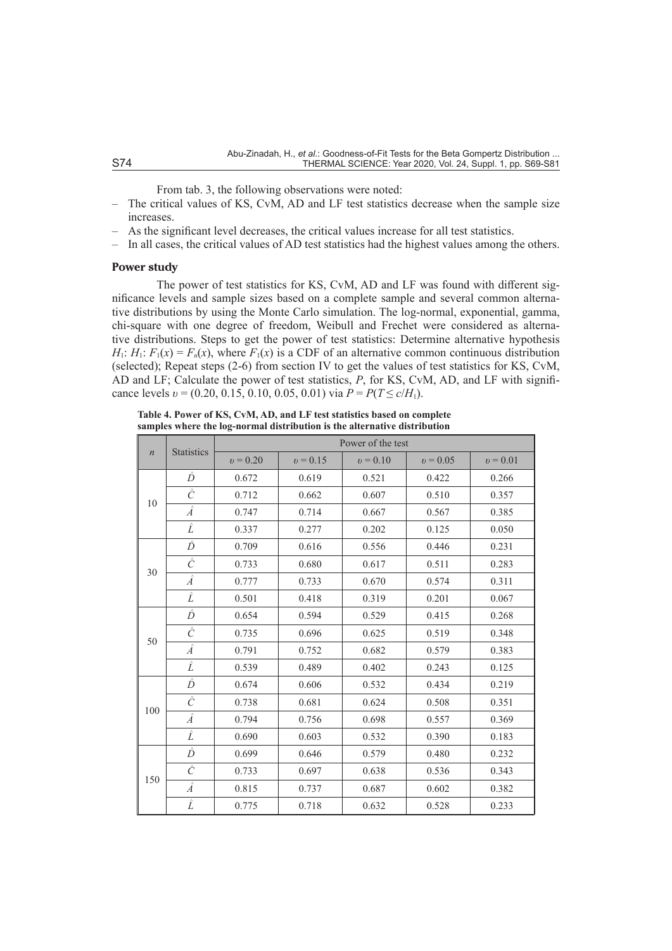From tab. 3, the following observations were noted:

- The critical values of KS, CvM, AD and LF test statistics decrease when the sample size increases.
- As the significant level decreases, the critical values increase for all test statistics.
- In all cases, the critical values of AD test statistics had the highest values among the others.

### **Power study**

The power of test statistics for KS, CvM, AD and LF was found with different significance levels and sample sizes based on a complete sample and several common alternative distributions by using the Monte Carlo simulation. The log-normal, exponential, gamma, chi-square with one degree of freedom, Weibull and Frechet were considered as alternative distributions. Steps to get the power of test statistics: Determine alternative hypothesis *H*<sub>1</sub>: *H*<sub>1</sub>: *F*<sub>1</sub>(*x*) = *F<sub>n</sub>*(*x*), where *F*<sub>1</sub>(*x*) is a CDF of an alternative common continuous distribution (selected); Repeat steps (2-6) from section IV to get the values of test statistics for KS, CvM, AD and LF; Calculate the power of test statistics, *P*, for KS, CvM, AD, and LF with significance levels  $v = (0.20, 0.15, 0.10, 0.05, 0.01)$  via  $P = P(T \le c/H_1)$ .

**Table 4. Power of KS, CvM, AD, and LF test statistics based on complete samples where the log-normal distribution is the alternative distribution**

|                  |                   |            | Power of the test |            |            |            |  |  |  |  |
|------------------|-------------------|------------|-------------------|------------|------------|------------|--|--|--|--|
| $\boldsymbol{n}$ | <b>Statistics</b> | $v = 0.20$ | $v = 0.15$        | $v = 0.10$ | $v = 0.05$ | $v = 0.01$ |  |  |  |  |
|                  | $\hat{D}$         | 0.672      | 0.619             | 0.521      | 0.422      | 0.266      |  |  |  |  |
| 10               | Ĉ                 | 0.712      | 0.662             | 0.607      | 0.510      | 0.357      |  |  |  |  |
|                  | $\hat{A}$         | 0.747      | 0.714             | 0.667      | 0.567      | 0.385      |  |  |  |  |
|                  | $\hat{L}$         | 0.337      | 0.277             | 0.202      | 0.125      | 0.050      |  |  |  |  |
|                  | $\hat{D}$         | 0.709      | 0.616             | 0.556      | 0.446      | 0.231      |  |  |  |  |
| 30               | Ĉ                 | 0.733      | 0.680             | 0.617      | 0.511      | 0.283      |  |  |  |  |
|                  | $\hat{A}$         | 0.777      | 0.733             | 0.670      | 0.574      | 0.311      |  |  |  |  |
|                  | $\hat{L}$         | 0.501      | 0.418             | 0.319      | 0.201      | 0.067      |  |  |  |  |
|                  | $\hat{D}$         | 0.654      | 0.594             | 0.529      | 0.415      | 0.268      |  |  |  |  |
| 50               | $\hat{C}$         | 0.735      | 0.696             | 0.625      | 0.519      | 0.348      |  |  |  |  |
|                  | $\hat{A}$         | 0.791      | 0.752             | 0.682      | 0.579      | 0.383      |  |  |  |  |
|                  | $\hat{L}$         | 0.539      | 0.489             | 0.402      | 0.243      | 0.125      |  |  |  |  |
|                  | $\hat{D}$         | 0.674      | 0.606             | 0.532      | 0.434      | 0.219      |  |  |  |  |
| 100              | $\hat{C}$         | 0.738      | 0.681             | 0.624      | 0.508      | 0.351      |  |  |  |  |
|                  | $\hat{A}$         | 0.794      | 0.756             | 0.698      | 0.557      | 0.369      |  |  |  |  |
|                  | Ê                 | 0.690      | 0.603             | 0.532      | 0.390      | 0.183      |  |  |  |  |
|                  | Ď                 | 0.699      | 0.646             | 0.579      | 0.480      | 0.232      |  |  |  |  |
| 150              | Ĉ                 | 0.733      | 0.697             | 0.638      | 0.536      | 0.343      |  |  |  |  |
|                  | $\hat{A}$         | 0.815      | 0.737             | 0.687      | 0.602      | 0.382      |  |  |  |  |
|                  | Ê                 | 0.775      | 0.718             | 0.632      | 0.528      | 0.233      |  |  |  |  |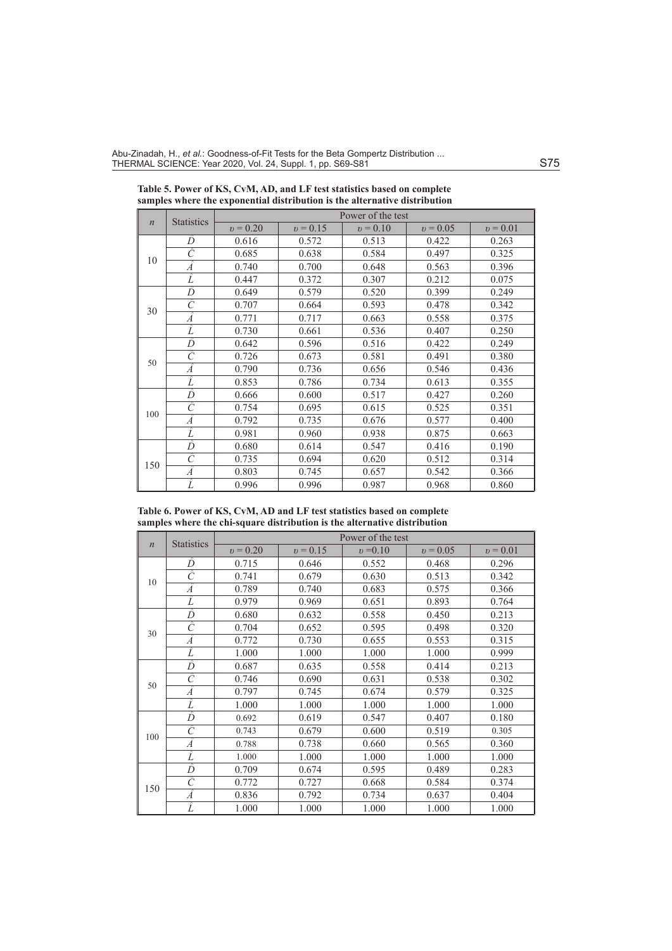Abu-Zinadah, H., *et al.*: Goodness-of-Fit Tests for the Beta Gompertz Distribution ...<br>THERMAL SCIENCE: Year 2020, Vol. 24, Suppl. 1, pp. S69-S81

| <b>Statistics</b> |           |            |            | Power of the test |            |            |
|-------------------|-----------|------------|------------|-------------------|------------|------------|
| $\boldsymbol{n}$  |           | $v = 0.20$ | $v = 0.15$ | $v = 0.10$        | $v = 0.05$ | $v = 0.01$ |
|                   | Ď         | 0.616      | 0.572      | 0.513             | 0.422      | 0.263      |
| 10                | Ĉ         | 0.685      | 0.638      | 0.584             | 0.497      | 0.325      |
|                   | Â         | 0.740      | 0.700      | 0.648             | 0.563      | 0.396      |
|                   | Î         | 0.447      | 0.372      | 0.307             | 0.212      | 0.075      |
|                   | $\hat{D}$ | 0.649      | 0.579      | 0.520             | 0.399      | 0.249      |
| 30                | Ĉ         | 0.707      | 0.664      | 0.593             | 0.478      | 0.342      |
|                   | Â         | 0.771      | 0.717      | 0.663             | 0.558      | 0.375      |
|                   | Î         | 0.730      | 0.661      | 0.536             | 0.407      | 0.250      |
|                   | Ď         | 0.642      | 0.596      | 0.516             | 0.422      | 0.249      |
| 50                | Ĉ         | 0.726      | 0.673      | 0.581             | 0.491      | 0.380      |
|                   | Â         | 0.790      | 0.736      | 0.656             | 0.546      | 0.436      |
|                   | Î         | 0.853      | 0.786      | 0.734             | 0.613      | 0.355      |
|                   | Ď         | 0.666      | 0.600      | 0.517             | 0.427      | 0.260      |
| 100               | Ĉ         | 0.754      | 0.695      | 0.615             | 0.525      | 0.351      |
|                   | Â         | 0.792      | 0.735      | 0.676             | 0.577      | 0.400      |
|                   | Ê         | 0.981      | 0.960      | 0.938             | 0.875      | 0.663      |
|                   | Ď         | 0.680      | 0.614      | 0.547             | 0.416      | 0.190      |
|                   | Ĉ         | 0.735      | 0.694      | 0.620             | 0.512      | 0.314      |
| 150               | Â         | 0.803      | 0.745      | 0.657             | 0.542      | 0.366      |
|                   | Ê         | 0.996      | 0.996      | 0.987             | 0.968      | 0.860      |

**Table 5. Power of KS, CvM, AD, and LF test statistics based on complete samples where the exponential distribution is the alternative distribution**

**Table 6. Power of KS, CvM, AD and LF test statistics based on complete samples where the chi-square distribution is the alternative distribution**

| $\boldsymbol{n}$ |                   |            |            | Power of the test |            |            |
|------------------|-------------------|------------|------------|-------------------|------------|------------|
|                  | <b>Statistics</b> | $v = 0.20$ | $v = 0.15$ | $v = 0.10$        | $v = 0.05$ | $v = 0.01$ |
|                  | Ď                 | 0.715      | 0.646      | 0.552             | 0.468      | 0.296      |
| 10               | $\hat{C}$         | 0.741      | 0.679      | 0.630             | 0.513      | 0.342      |
|                  | Â                 | 0.789      | 0.740      | 0.683             | 0.575      | 0.366      |
|                  | Î                 | 0.979      | 0.969      | 0.651             | 0.893      | 0.764      |
|                  | Ď                 | 0.680      | 0.632      | 0.558             | 0.450      | 0.213      |
|                  | Ĉ                 | 0.704      | 0.652      | 0.595             | 0.498      | 0.320      |
| 30               | Â                 | 0.772      | 0.730      | 0.655             | 0.553      | 0.315      |
|                  | Ê                 | 1.000      | 1.000      | 1.000             | 1.000      | 0.999      |
|                  | $\hat{D}$         | 0.687      | 0.635      | 0.558             | 0.414      | 0.213      |
| 50               | Ĉ                 | 0.746      | 0.690      | 0.631             | 0.538      | 0.302      |
|                  | Â                 | 0.797      | 0.745      | 0.674             | 0.579      | 0.325      |
|                  | Ê                 | 1.000      | 1.000      | 1.000             | 1.000      | 1.000      |
|                  | $\hat{D}$         | 0.692      | 0.619      | 0.547             | 0.407      | 0.180      |
| 100              | Ĉ                 | 0.743      | 0.679      | 0.600             | 0.519      | 0.305      |
|                  | Â                 | 0.788      | 0.738      | 0.660             | 0.565      | 0.360      |
|                  | Î                 | 1.000      | 1.000      | 1.000             | 1.000      | 1.000      |
|                  | Ď                 | 0.709      | 0.674      | 0.595             | 0.489      | 0.283      |
| 150              | $\hat{C}$         | 0.772      | 0.727      | 0.668             | 0.584      | 0.374      |
|                  | Â                 | 0.836      | 0.792      | 0.734             | 0.637      | 0.404      |
|                  | Î                 | 1.000      | 1.000      | 1.000             | 1.000      | 1.000      |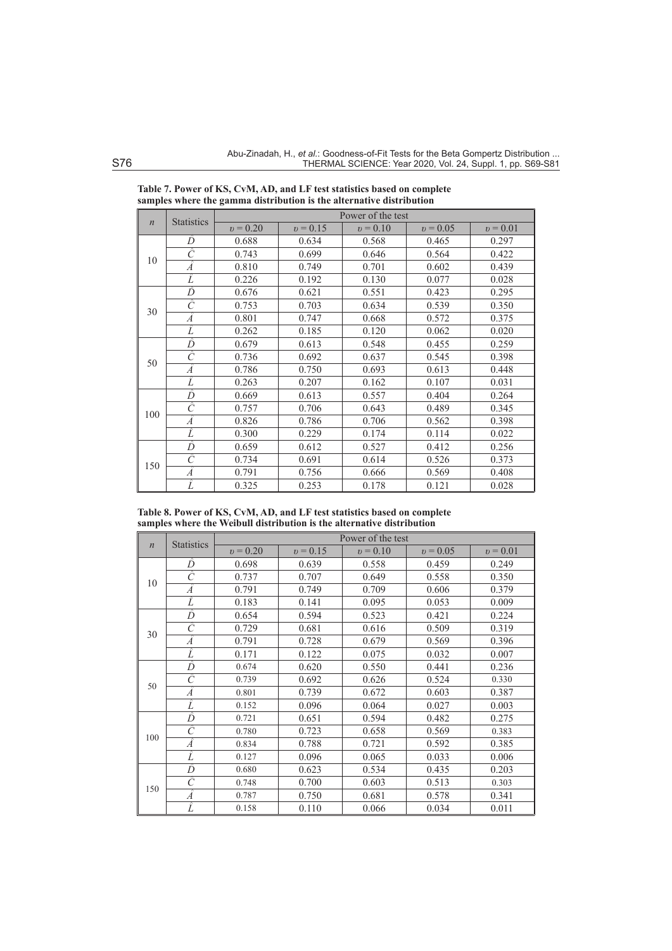|                  | <b>Statistics</b>    |            |            | Power of the test |            |            |
|------------------|----------------------|------------|------------|-------------------|------------|------------|
| $\boldsymbol{n}$ |                      | $v = 0.20$ | $v = 0.15$ | $v = 0.10$        | $v = 0.05$ | $v = 0.01$ |
|                  | Ď                    | 0.688      | 0.634      | 0.568             | 0.465      | 0.297      |
|                  | $\hat{C}$            | 0.743      | 0.699      | 0.646             | 0.564      | 0.422      |
| 10               | Â                    | 0.810      | 0.749      | 0.701             | 0.602      | 0.439      |
|                  | Ê                    | 0.226      | 0.192      | 0.130             | 0.077      | 0.028      |
|                  | Ď                    | 0.676      | 0.621      | 0.551             | 0.423      | 0.295      |
|                  | ĉ                    | 0.753      | 0.703      | 0.634             | 0.539      | 0.350      |
| 30               | Â                    | 0.801      | 0.747      | 0.668             | 0.572      | 0.375      |
|                  | Î                    | 0.262      | 0.185      | 0.120             | 0.062      | 0.020      |
|                  | $\hat{D}$            | 0.679      | 0.613      | 0.548             | 0.455      | 0.259      |
| 50               | $\hat{C}$            | 0.736      | 0.692      | 0.637             | 0.545      | 0.398      |
|                  | $\overline{\hat{A}}$ | 0.786      | 0.750      | 0.693             | 0.613      | 0.448      |
|                  | Î                    | 0.263      | 0.207      | 0.162             | 0.107      | 0.031      |
|                  | Ď                    | 0.669      | 0.613      | 0.557             | 0.404      | 0.264      |
|                  | Ĉ                    | 0.757      | 0.706      | 0.643             | 0.489      | 0.345      |
| 100              | Â                    | 0.826      | 0.786      | 0.706             | 0.562      | 0.398      |
|                  | Ê                    | 0.300      | 0.229      | 0.174             | 0.114      | 0.022      |
|                  | $\hat{D}$            | 0.659      | 0.612      | 0.527             | 0.412      | 0.256      |
|                  | $\hat{C}$            | 0.734      | 0.691      | 0.614             | 0.526      | 0.373      |
| 150              | Â                    | 0.791      | 0.756      | 0.666             | 0.569      | 0.408      |
|                  | Î                    | 0.325      | 0.253      | 0.178             | 0.121      | 0.028      |

**Table 7. Power of KS, CvM, AD, and LF test statistics based on complete samples where the gamma distribution is the alternative distribution**

**Table 8. Power of KS, CvM, AD, and LF test statistics based on complete samples where the Weibull distribution is the alternative distribution**

|                  |                      |            |            | Power of the test |            |            |
|------------------|----------------------|------------|------------|-------------------|------------|------------|
| $\boldsymbol{n}$ | <b>Statistics</b>    | $v = 0.20$ | $v = 0.15$ | $v = 0.10$        | $v = 0.05$ | $v = 0.01$ |
|                  | Ď                    | 0.698      | 0.639      | 0.558             | 0.459      | 0.249      |
| 10               | $\overline{\hat{C}}$ | 0.737      | 0.707      | 0.649             | 0.558      | 0.350      |
|                  | Â                    | 0.791      | 0.749      | 0.709             | 0.606      | 0.379      |
|                  | Î                    | 0.183      | 0.141      | 0.095             | 0.053      | 0.009      |
|                  | Ď                    | 0.654      | 0.594      | 0.523             | 0.421      | 0.224      |
| 30               | $\hat{C}$            | 0.729      | 0.681      | 0.616             | 0.509      | 0.319      |
|                  | Â                    | 0.791      | 0.728      | 0.679             | 0.569      | 0.396      |
|                  | Ê                    | 0.171      | 0.122      | 0.075             | 0.032      | 0.007      |
|                  | Ď                    | 0.674      | 0.620      | 0.550             | 0.441      | 0.236      |
| 50               | ĉ                    | 0.739      | 0.692      | 0.626             | 0.524      | 0.330      |
|                  | Â                    | 0.801      | 0.739      | 0.672             | 0.603      | 0.387      |
|                  | Î                    | 0.152      | 0.096      | 0.064             | 0.027      | 0.003      |
|                  | Ď                    | 0.721      | 0.651      | 0.594             | 0.482      | 0.275      |
| 100              | Ĉ                    | 0.780      | 0.723      | 0.658             | 0.569      | 0.383      |
|                  | $\overline{\hat{A}}$ | 0.834      | 0.788      | 0.721             | 0.592      | 0.385      |
|                  | Ê                    | 0.127      | 0.096      | 0.065             | 0.033      | 0.006      |
|                  | Ď                    | 0.680      | 0.623      | 0.534             | 0.435      | 0.203      |
| 150              | $\overline{\hat{C}}$ | 0.748      | 0.700      | 0.603             | 0.513      | 0.303      |
|                  | Â                    | 0.787      | 0.750      | 0.681             | 0.578      | 0.341      |
|                  | Î                    | 0.158      | 0.110      | 0.066             | 0.034      | 0.011      |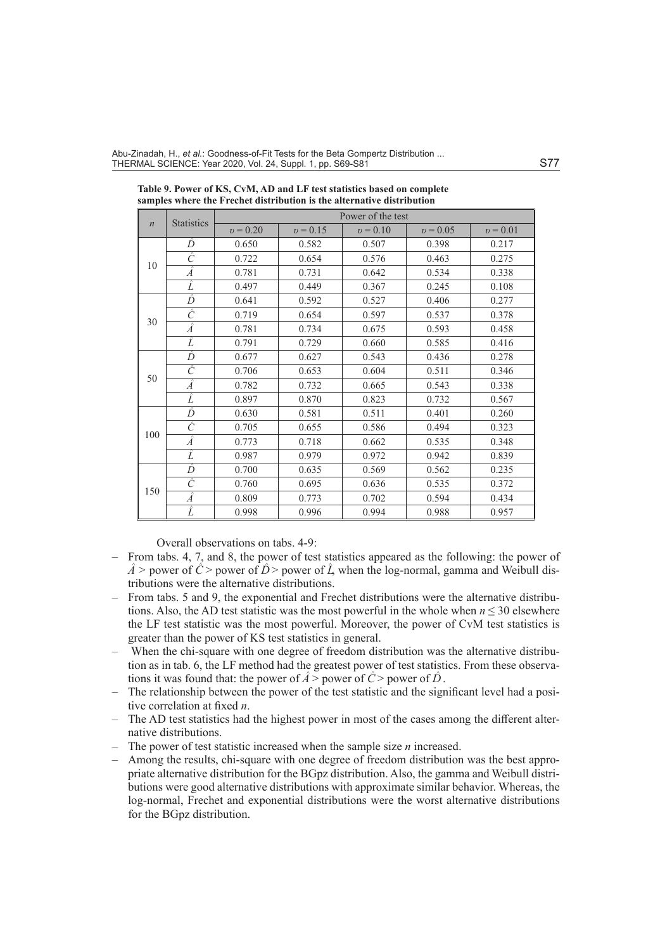Abu-Zinadah, H., *et al.*: Goodness-of-Fit Tests for the Beta Gompertz Distribution ... THERMAL SCIENCE: Year 2020, Vol. 24, Suppl. 1, pp. S69-S81 S77 S77 S77

| $\boldsymbol{n}$ | <b>Statistics</b>    | Power of the test |            |            |            |            |  |  |  |  |
|------------------|----------------------|-------------------|------------|------------|------------|------------|--|--|--|--|
|                  |                      | $v = 0.20$        | $v = 0.15$ | $v = 0.10$ | $v = 0.05$ | $v = 0.01$ |  |  |  |  |
|                  | Ď                    | 0.650             | 0.582      | 0.507      | 0.398      | 0.217      |  |  |  |  |
| 10               | Ĉ                    | 0.722             | 0.654      | 0.576      | 0.463      | 0.275      |  |  |  |  |
|                  | $\overline{\hat{A}}$ | 0.781             | 0.731      | 0.642      | 0.534      | 0.338      |  |  |  |  |
|                  | Ê                    | 0.497             | 0.449      | 0.367      | 0.245      | 0.108      |  |  |  |  |
|                  | Ď                    | 0.641             | 0.592      | 0.527      | 0.406      | 0.277      |  |  |  |  |
| 30               | $\overline{\hat{C}}$ | 0.719             | 0.654      | 0.597      | 0.537      | 0.378      |  |  |  |  |
|                  | $\overline{\hat{A}}$ | 0.781             | 0.734      | 0.675      | 0.593      | 0.458      |  |  |  |  |
|                  | Ê                    | 0.791             | 0.729      | 0.660      | 0.585      | 0.416      |  |  |  |  |
|                  | $\hat{D}$            | 0.677             | 0.627      | 0.543      | 0.436      | 0.278      |  |  |  |  |
|                  | $\hat{C}$            | 0.706             | 0.653      | 0.604      | 0.511      | 0.346      |  |  |  |  |
| 50               | $\overline{\hat{A}}$ | 0.782             | 0.732      | 0.665      | 0.543      | 0.338      |  |  |  |  |
|                  | Î                    | 0.897             | 0.870      | 0.823      | 0.732      | 0.567      |  |  |  |  |
|                  | $\hat{D}$            | 0.630             | 0.581      | 0.511      | 0.401      | 0.260      |  |  |  |  |
|                  | Ĉ                    | 0.705             | 0.655      | 0.586      | 0.494      | 0.323      |  |  |  |  |
| 100              | Â                    | 0.773             | 0.718      | 0.662      | 0.535      | 0.348      |  |  |  |  |
|                  | Î                    | 0.987             | 0.979      | 0.972      | 0.942      | 0.839      |  |  |  |  |
|                  | Ď                    | 0.700             | 0.635      | 0.569      | 0.562      | 0.235      |  |  |  |  |
|                  | $\overline{\hat{C}}$ | 0.760             | 0.695      | 0.636      | 0.535      | 0.372      |  |  |  |  |
| 150              | $\overline{\hat{A}}$ | 0.809             | 0.773      | 0.702      | 0.594      | 0.434      |  |  |  |  |
|                  | Î                    | 0.998             | 0.996      | 0.994      | 0.988      | 0.957      |  |  |  |  |

**Table 9. Power of KS, CvM, AD and LF test statistics based on complete samples where the Frechet distribution is the alternative distribution**

Overall observations on tabs. 4-9:

- From tabs. 4, 7, and 8, the power of test statistics appeared as the following: the power of  $\hat{A}$  > power of  $\hat{C}$  > power of  $\hat{D}$  > power of  $\hat{L}$ , when the log-normal, gamma and Weibull distributions were the alternative distributions.
- From tabs. 5 and 9, the exponential and Frechet distributions were the alternative distributions. Also, the AD test statistic was the most powerful in the whole when  $n \leq 30$  elsewhere the LF test statistic was the most powerful. Moreover, the power of CvM test statistics is greater than the power of KS test statistics in general.
- When the chi-square with one degree of freedom distribution was the alternative distribution as in tab. 6, the LF method had the greatest power of test statistics. From these observations it was found that: the power of  $\hat{A}$  > power of  $\hat{C}$  > power of  $\hat{D}$ .
- The relationship between the power of the test statistic and the significant level had a positive correlation at fixed *n*.
- The AD test statistics had the highest power in most of the cases among the different alternative distributions.
- The power of test statistic increased when the sample size *n* increased.
- Among the results, chi-square with one degree of freedom distribution was the best appropriate alternative distribution for the BGpz distribution. Also, the gamma and Weibull distributions were good alternative distributions with approximate similar behavior. Whereas, the log-normal, Frechet and exponential distributions were the worst alternative distributions for the BGpz distribution.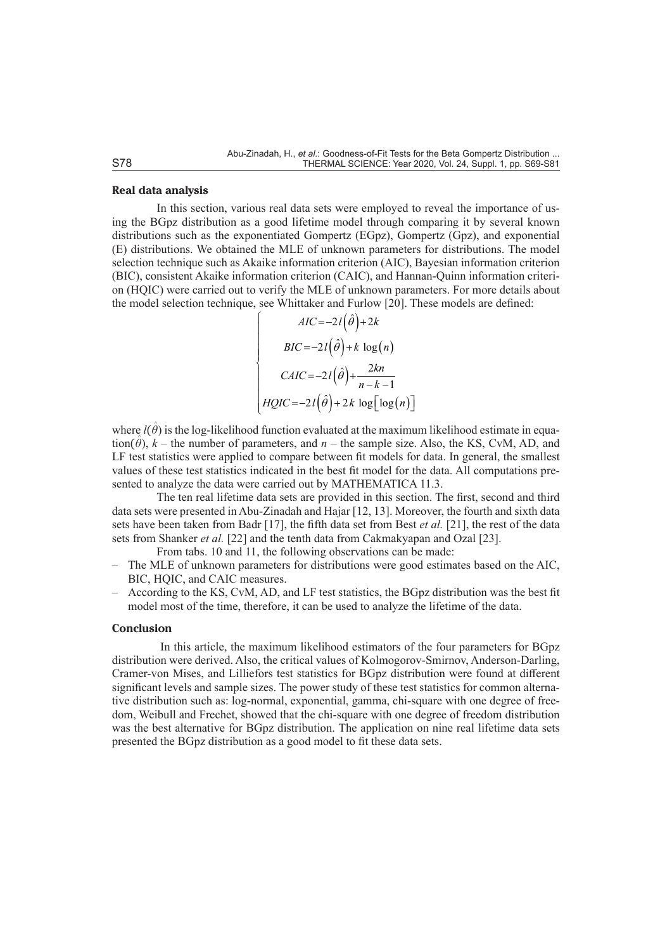#### **Real data analysis**

In this section, various real data sets were employed to reveal the importance of using the BGpz distribution as a good lifetime model through comparing it by several known distributions such as the exponentiated Gompertz (EGpz), Gompertz (Gpz), and exponential (E) distributions. We obtained the MLE of unknown parameters for distributions. The model selection technique such as Akaike information criterion (AIC), Bayesian information criterion (BIC), consistent Akaike information criterion (CAIC), and Hannan-Quinn information criterion (HQIC) were carried out to verify the MLE of unknown parameters. For more details about the model selection technique, see Whittaker and Furlow [20]. These models are defined:

$$
AIC = -2l(\hat{\theta}) + 2k
$$
  
\n
$$
BIC = -2l(\hat{\theta}) + k \log(n)
$$
  
\n
$$
CAIC = -2l(\hat{\theta}) + \frac{2kn}{n-k-1}
$$
  
\n
$$
HQIC = -2l(\hat{\theta}) + 2k \log[\log(n)]
$$

where  $l(\hat{\theta})$  is the log-likelihood function evaluated at the maximum likelihood estimate in equation( $\hat{\theta}$ ),  $\hat{k}$  – the number of parameters, and *n* – the sample size. Also, the KS, CvM, AD, and LF test statistics were applied to compare between fit models for data. In general, the smallest values of these test statistics indicated in the best fit model for the data. All computations presented to analyze the data were carried out by MATHEMATICA 11.3.

The ten real lifetime data sets are provided in this section. The first, second and third data sets were presented in Abu-Zinadah and Hajar [12, 13]. Moreover, the fourth and sixth data sets have been taken from Badr [17], the fifth data set from Best *et al.* [21], the rest of the data sets from Shanker *et al.* [22] and the tenth data from Cakmakyapan and Ozal [23].

From tabs. 10 and 11, the following observations can be made:

- The MLE of unknown parameters for distributions were good estimates based on the AIC, BIC, HQIC, and CAIC measures.
- According to the KS, CvM, AD, and LF test statistics, the BGpz distribution was the best fit model most of the time, therefore, it can be used to analyze the lifetime of the data.

#### **Conclusion**

 In this article, the maximum likelihood estimators of the four parameters for BGpz distribution were derived. Also, the critical values of Kolmogorov-Smirnov, Anderson-Darling, Cramer-von Mises, and Lilliefors test statistics for BGpz distribution were found at different significant levels and sample sizes. The power study of these test statistics for common alternative distribution such as: log-normal, exponential, gamma, chi-square with one degree of freedom, Weibull and Frechet, showed that the chi-square with one degree of freedom distribution was the best alternative for BGpz distribution. The application on nine real lifetime data sets presented the BGpz distribution as a good model to fit these data sets.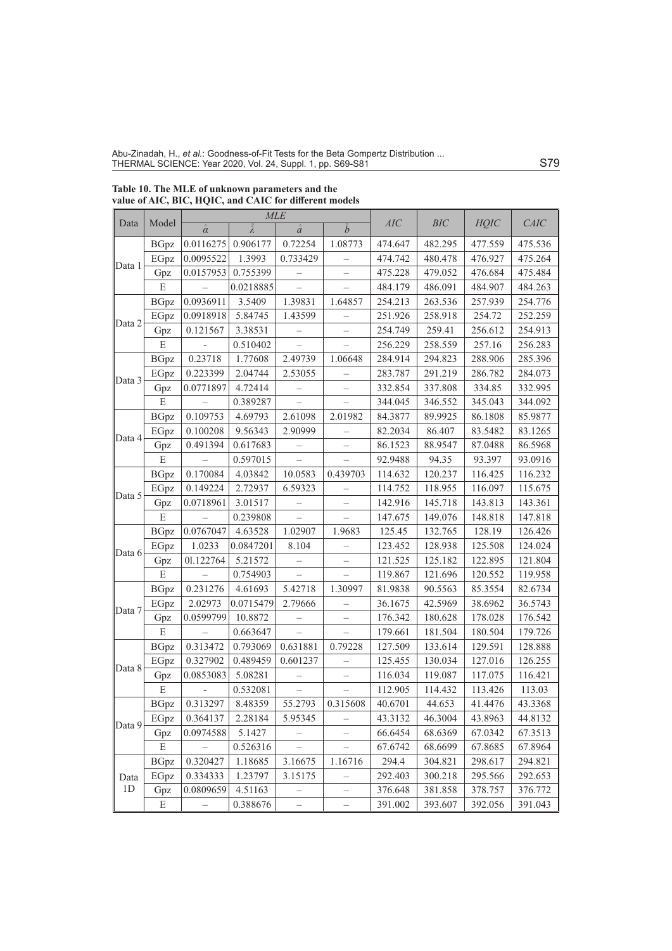Abu-Zinadah, H., *et al.*: Goodness-of-Fit Tests for the Beta Gompertz Distribution ...<br>THERMAL SCIENCE: Year 2020, Vol. 24, Suppl. 1, pp. S69-S81

# **Table 10. The MLE of unknown parameters and the value of AIC, BIC, HQIC, and CAIC for different models**

|        |             |                                | <b>MLE</b>      |                      |           |         |         |         |         |
|--------|-------------|--------------------------------|-----------------|----------------------|-----------|---------|---------|---------|---------|
| Data   | Model       | $\hat{\alpha}$                 | $\hat{\lambda}$ | $\overline{\hat{a}}$ | $\hat{b}$ | AIC     | BIC     | HQIC    | CAIC    |
|        | <b>BGpz</b> | 0.0116275                      | 0.906177        | 0.72254              | 1.08773   | 474.647 | 482.295 | 477.559 | 475.536 |
|        | EGpz        | 0.0095522                      | 1.3993          | 0.733429             |           | 474.742 | 480.478 | 476.927 | 475.264 |
| Data 1 | Gpz         | 0.0157953                      | 0.755399        |                      |           | 475.228 | 479.052 | 476.684 | 475.484 |
|        | E           |                                | 0.0218885       |                      |           | 484.179 | 486.091 | 484.907 | 484.263 |
|        | <b>BGpz</b> | 0.0936911                      | 3.5409          | 1.39831              | 1.64857   | 254.213 | 263.536 | 257.939 | 254.776 |
| Data 2 | EGpz        | 0.0918918                      | 5.84745         | 1.43599              |           | 251.926 | 258.918 | 254.72  | 252.259 |
|        | Gpz         | 0.121567                       | 3.38531         |                      |           | 254.749 | 259.41  | 256.612 | 254.913 |
|        | E           |                                | 0.510402        |                      |           | 256.229 | 258.559 | 257.16  | 256.283 |
|        | <b>BGpz</b> | 0.23718                        | 1.77608         | 2.49739              | 1.06648   | 284.914 | 294.823 | 288.906 | 285.396 |
|        | EGpz        | 0.223399                       | 2.04744         | 2.53055              |           | 283.787 | 291.219 | 286.782 | 284.073 |
| Data 3 | Gpz         | 0.0771897                      | 4.72414         |                      |           | 332.854 | 337.808 | 334.85  | 332.995 |
|        | E           |                                | 0.389287        |                      |           | 344.045 | 346.552 | 345.043 | 344.092 |
|        | <b>BGpz</b> | 0.109753                       | 4.69793         | 2.61098              | 2.01982   | 84.3877 | 89.9925 | 86.1808 | 85.9877 |
|        | EGpz        | 0.100208                       | 9.56343         | 2.90999              |           | 82.2034 | 86.407  | 83.5482 | 83.1265 |
| Data 4 | Gpz         | 0.491394                       | 0.617683        |                      |           | 86.1523 | 88.9547 | 87.0488 | 86.5968 |
|        | E           |                                | 0.597015        |                      |           | 92.9488 | 94.35   | 93.397  | 93.0916 |
|        | <b>BGpz</b> | 0.170084                       | 4.03842         | 10.0583              | 0.439703  | 114.632 | 120.237 | 116.425 | 116.232 |
|        | EGpz        | 0.149224                       | 2.72937         | 6.59323              |           | 114.752 | 118.955 | 116.097 | 115.675 |
| Data 5 | Gpz         | 0.0718961                      | 3.01517         |                      |           | 142.916 | 145.718 | 143.813 | 143.361 |
|        | E           |                                | 0.239808        |                      |           | 147.675 | 149.076 | 148.818 | 147.818 |
|        | <b>BGpz</b> | 0.0767047                      | 4.63528         | 1.02907              | 1.9683    | 125.45  | 132.765 | 128.19  | 126.426 |
| Data 6 | EGpz        | 1.0233                         | 0.0847201       | 8.104                |           | 123.452 | 128.938 | 125.508 | 124.024 |
|        | Gpz         | 01.122764                      | 5.21572         |                      |           | 121.525 | 125.182 | 122.895 | 121.804 |
|        | E           |                                | 0.754903        |                      |           | 119.867 | 121.696 | 120.552 | 119.958 |
|        | <b>BGpz</b> | 0.231276                       | 4.61693         | 5.42718              | 1.30997   | 81.9838 | 90.5563 | 85.3554 | 82.6734 |
| Data 7 | EGpz        | 2.02973                        | 0.0715479       | 2.79666              |           | 36.1675 | 42.5969 | 38.6962 | 36.5743 |
|        | Gpz         | 0.0599799                      | 10.8872         |                      |           | 176.342 | 180.628 | 178.028 | 176.542 |
|        | E           |                                | 0.663647        |                      |           | 179.661 | 181.504 | 180.504 | 179.726 |
|        | <b>BGpz</b> | 0.313472                       | 0.793069        | 0.631881             | 0.79228   | 127.509 | 133.614 | 129.591 | 128.888 |
| Data 8 | EGpz        | 0.327902                       | 0.489459        | 0.601237             |           | 125.455 | 130.034 | 127.016 | 126.255 |
|        | Gpz         | 0.0853083                      | 5.08281         |                      |           | 116.034 | 119.087 | 117.075 | 116.421 |
|        | E           |                                | 0.532081        |                      |           | 112.905 | 114.432 | 113.426 | 113.03  |
|        | <b>BGpz</b> | 0.313297                       | 8.48359         | 55.2793              | 0.315608  | 40.6701 | 44.653  | 41.4476 | 43.3368 |
| Data 9 | EGpz        | $\vert 0.364137 \vert 2.28184$ |                 | 5.95345              |           | 43.3132 | 46.3004 | 43.8963 | 44.8132 |
|        | Gpz         | 0.0974588                      | 5.1427          |                      |           | 66.6454 | 68.6369 | 67.0342 | 67.3513 |
|        | E           |                                | 0.526316        |                      |           | 67.6742 | 68.6699 | 67.8685 | 67.8964 |
|        | <b>BGpz</b> | 0.320427                       | 1.18685         | 3.16675              | 1.16716   | 294.4   | 304.821 | 298.617 | 294.821 |
| Data   | EGpz        | 0.334333                       | 1.23797         | 3.15175              |           | 292.403 | 300.218 | 295.566 | 292.653 |
| 1D     | Gpz         | 0.0809659                      | 4.51163         |                      |           | 376.648 | 381.858 | 378.757 | 376.772 |
|        | E           |                                | 0.388676        |                      |           | 391.002 | 393.607 | 392.056 | 391.043 |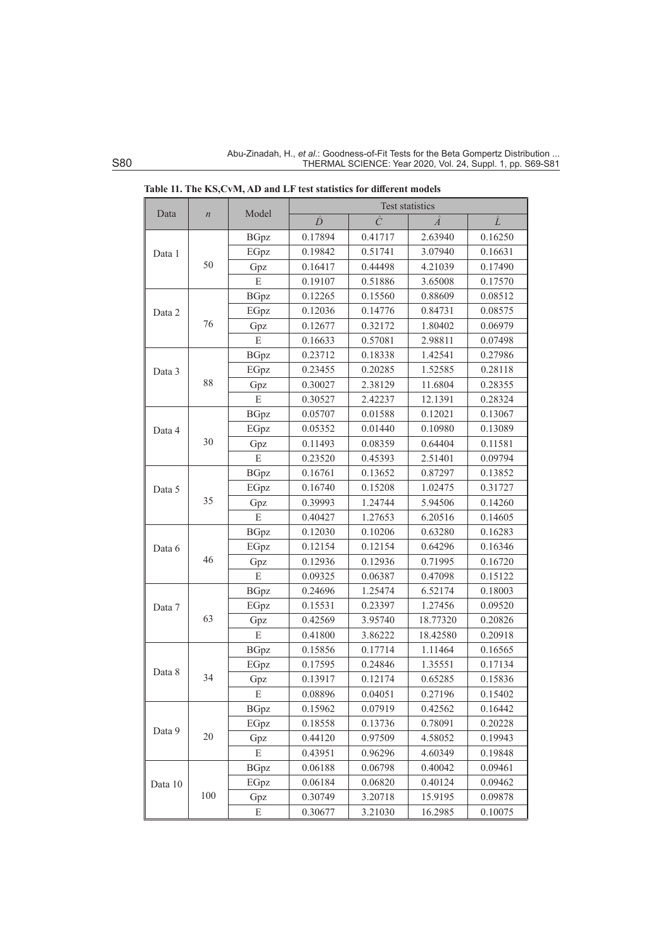|         |                  | Model       |         | <b>Test statistics</b> |          |         |  |  |  |  |
|---------|------------------|-------------|---------|------------------------|----------|---------|--|--|--|--|
| Data    | $\boldsymbol{n}$ |             | Ď       | Ĉ                      | Â        | Î.      |  |  |  |  |
|         |                  | <b>BGpz</b> | 0.17894 | 0.41717                | 2.63940  | 0.16250 |  |  |  |  |
| Data 1  |                  | EGpz        | 0.19842 | 0.51741                | 3.07940  | 0.16631 |  |  |  |  |
|         | 50               | Gpz         | 0.16417 | 0.44498                | 4.21039  | 0.17490 |  |  |  |  |
|         |                  | E           | 0.19107 | 0.51886                | 3.65008  | 0.17570 |  |  |  |  |
|         |                  | <b>BGpz</b> | 0.12265 | 0.15560                | 0.88609  | 0.08512 |  |  |  |  |
| Data 2  |                  | EGpz        | 0.12036 | 0.14776                | 0.84731  | 0.08575 |  |  |  |  |
|         | 76               | Gpz         | 0.12677 | 0.32172                | 1.80402  | 0.06979 |  |  |  |  |
|         |                  | E           | 0.16633 | 0.57081                | 2.98811  | 0.07498 |  |  |  |  |
|         |                  | <b>BGpz</b> | 0.23712 | 0.18338                | 1.42541  | 0.27986 |  |  |  |  |
| Data 3  |                  | EGpz        | 0.23455 | 0.20285                | 1.52585  | 0.28118 |  |  |  |  |
|         | 88               | Gpz         | 0.30027 | 2.38129                | 11.6804  | 0.28355 |  |  |  |  |
|         |                  | E           | 0.30527 | 2.42237                | 12.1391  | 0.28324 |  |  |  |  |
|         |                  | <b>BGpz</b> | 0.05707 | 0.01588                | 0.12021  | 0.13067 |  |  |  |  |
| Data 4  |                  | EGpz        | 0.05352 | 0.01440                | 0.10980  | 0.13089 |  |  |  |  |
|         | 30               | Gpz         | 0.11493 | 0.08359                | 0.64404  | 0.11581 |  |  |  |  |
|         |                  | E           | 0.23520 | 0.45393                | 2.51401  | 0.09794 |  |  |  |  |
|         |                  | <b>BGpz</b> | 0.16761 | 0.13652                | 0.87297  | 0.13852 |  |  |  |  |
| Data 5  |                  | EGpz        | 0.16740 | 0.15208                | 1.02475  | 0.31727 |  |  |  |  |
|         | 35               | Gpz         | 0.39993 | 1.24744                | 5.94506  | 0.14260 |  |  |  |  |
|         |                  | E           | 0.40427 | 1.27653                | 6.20516  | 0.14605 |  |  |  |  |
|         |                  | <b>BGpz</b> | 0.12030 | 0.10206                | 0.63280  | 0.16283 |  |  |  |  |
| Data 6  |                  | EGpz        | 0.12154 | 0.12154                | 0.64296  | 0.16346 |  |  |  |  |
|         | 46               | Gpz         | 0.12936 | 0.12936                | 0.71995  | 0.16720 |  |  |  |  |
|         |                  | E           | 0.09325 | 0.06387                | 0.47098  | 0.15122 |  |  |  |  |
|         |                  | <b>BGpz</b> | 0.24696 | 1.25474                | 6.52174  | 0.18003 |  |  |  |  |
| Data 7  |                  | EGpz        | 0.15531 | 0.23397                | 1.27456  | 0.09520 |  |  |  |  |
|         | 63               | Gpz         | 0.42569 | 3.95740                | 18.77320 | 0.20826 |  |  |  |  |
|         |                  | E           | 0.41800 | 3.86222                | 18.42580 | 0.20918 |  |  |  |  |
|         |                  | <b>BGpz</b> | 0.15856 | 0.17714                | 1.11464  | 0.16565 |  |  |  |  |
|         |                  | EGpz        | 0.17595 | 0.24846                | 1.35551  | 0.17134 |  |  |  |  |
| Data 8  | 34               | Gpz         | 0.13917 | 0.12174                | 0.65285  | 0.15836 |  |  |  |  |
|         |                  | E           | 0.08896 | 0.04051                | 0.27196  | 0.15402 |  |  |  |  |
|         |                  | <b>BGpz</b> | 0.15962 | 0.07919                | 0.42562  | 0.16442 |  |  |  |  |
|         |                  | EGpz        | 0.18558 | 0.13736                | 0.78091  | 0.20228 |  |  |  |  |
| Data 9  | 20               | Gpz         | 0.44120 | 0.97509                | 4.58052  | 0.19943 |  |  |  |  |
|         |                  | ${\bf E}$   | 0.43951 | 0.96296                | 4.60349  | 0.19848 |  |  |  |  |
|         |                  | <b>BGpz</b> | 0.06188 | 0.06798                | 0.40042  | 0.09461 |  |  |  |  |
| Data 10 |                  | EGpz        | 0.06184 | 0.06820                | 0.40124  | 0.09462 |  |  |  |  |
|         | 100              | Gpz         | 0.30749 | 3.20718                | 15.9195  | 0.09878 |  |  |  |  |
|         |                  | $\mathbf E$ | 0.30677 | 3.21030                | 16.2985  | 0.10075 |  |  |  |  |

**Table 11. The KS,CvM, AD and LF test statistics for different models**